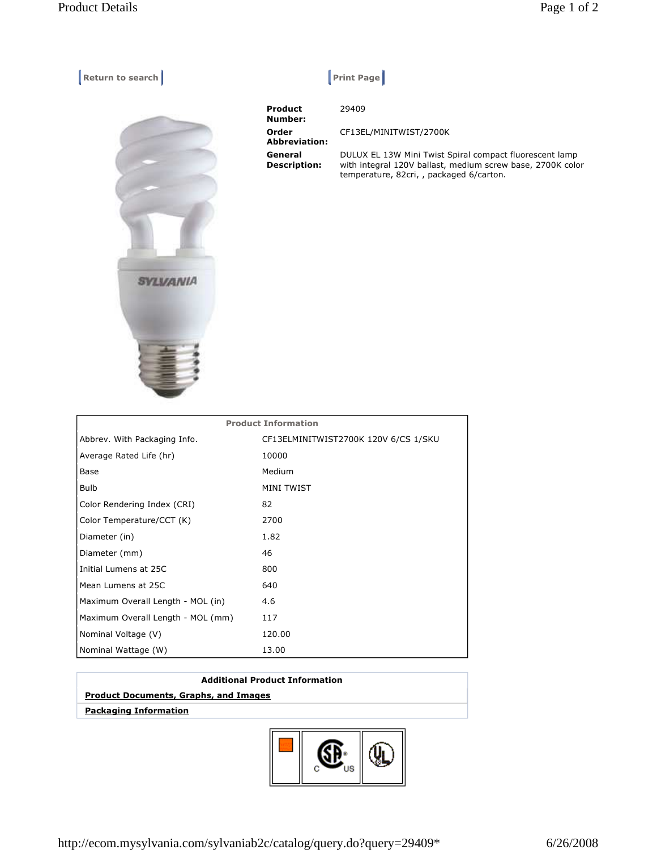**Return to search Return Construction Construction Construction Construction Construction Construction Construction Construction Construction Construction Construction Construction Construction Construction Construction Co** 



| <b>Product</b><br>Number:      | 29409                                                                                                                                                             |
|--------------------------------|-------------------------------------------------------------------------------------------------------------------------------------------------------------------|
| Order<br><b>Abbreviation:</b>  | CF13EL/MINITWIST/2700K                                                                                                                                            |
| General<br><b>Description:</b> | DULUX EL 13W Mini Twist Spiral compact fluorescent lamp<br>with integral 120V ballast, medium screw base, 2700K color<br>temperature, 82cri, , packaged 6/carton. |

| <b>Product Information</b>        |                                      |  |
|-----------------------------------|--------------------------------------|--|
| Abbrev. With Packaging Info.      | CF13ELMINITWIST2700K 120V 6/CS 1/SKU |  |
| Average Rated Life (hr)           | 10000                                |  |
| Base                              | Medium                               |  |
| <b>Bulb</b>                       | <b>MINI TWIST</b>                    |  |
| Color Rendering Index (CRI)       | 82                                   |  |
| Color Temperature/CCT (K)         | 2700                                 |  |
| Diameter (in)                     | 1.82                                 |  |
| Diameter (mm)                     | 46                                   |  |
| Initial Lumens at 25C             | 800                                  |  |
| Mean Lumens at 25C                | 640                                  |  |
| Maximum Overall Length - MOL (in) | 4.6                                  |  |
| Maximum Overall Length - MOL (mm) | 117                                  |  |
| Nominal Voltage (V)               | 120.00                               |  |
| Nominal Wattage (W)               | 13.00                                |  |

## **Additional Product Information**

## **Product Documents, Graphs, and Images**

 **Packaging Information**